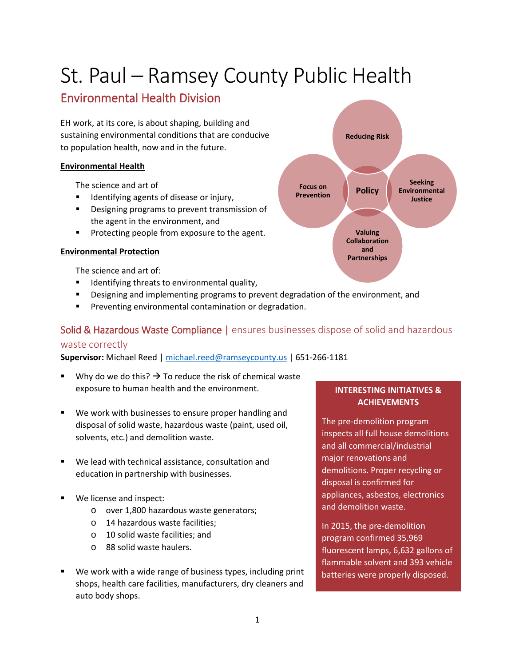# St. Paul – Ramsey County Public Health

## Environmental Health Division

EH work, at its core, is about shaping, building and sustaining environmental conditions that are conducive to population health, now and in the future.

#### **Environmental Health**

The science and art of

- Identifying agents of disease or injury,
- Designing programs to prevent transmission of the agent in the environment, and
- **Protecting people from exposure to the agent.**

#### **Environmental Protection**

The science and art of:

- **IDENTIFY IDENTIFY** Identifying threats to environmental quality,
- Designing and implementing programs to prevent degradation of the environment, and
- **Preventing environmental contamination or degradation.**

## Solid & Hazardous Waste Compliance | ensures businesses dispose of solid and hazardous

## waste correctly

**Supervisor:** Michael Reed | [michael.reed@ramseycounty.us](mailto:michael.reed@ramseycounty.us) | 651-266-1181

- Why do we do this?  $\rightarrow$  To reduce the risk of chemical waste exposure to human health and the environment.
- We work with businesses to ensure proper handling and disposal of solid waste, hazardous waste (paint, used oil, solvents, etc.) and demolition waste.
- We lead with technical assistance, consultation and education in partnership with businesses.
- We license and inspect:
	- o over 1,800 hazardous waste generators;
	- o 14 hazardous waste facilities;
	- o 10 solid waste facilities; and
	- o 88 solid waste haulers.
- We work with a wide range of business types, including print shops, health care facilities, manufacturers, dry cleaners and auto body shops.



## **INTERESTING INITIATIVES & ACHIEVEMENTS**

The pre-demolition program inspects all full house demolitions and all commercial/industrial major renovations and demolitions. Proper recycling or disposal is confirmed for appliances, asbestos, electronics and demolition waste.

In 2015, the pre-demolition program confirmed 35,969 fluorescent lamps, 6,632 gallons of flammable solvent and 393 vehicle batteries were properly disposed.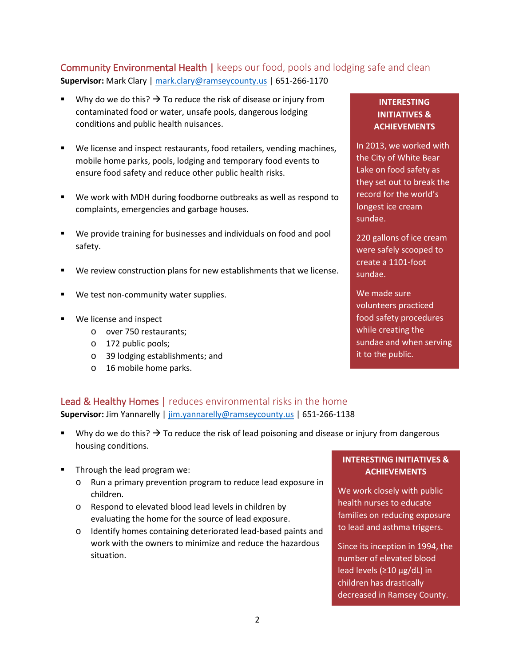## Community Environmental Health | keeps our food, pools and lodging safe and clean **Supervisor:** Mark Clary [| mark.clary@ramseycounty.us](mailto:mark.clary@ramseycounty.us) | 651-266-1170

- Why do we do this?  $\rightarrow$  To reduce the risk of disease or injury from contaminated food or water, unsafe pools, dangerous lodging conditions and public health nuisances.
- We license and inspect restaurants, food retailers, vending machines, mobile home parks, pools, lodging and temporary food events to ensure food safety and reduce other public health risks.
- We work with MDH during foodborne outbreaks as well as respond to complaints, emergencies and garbage houses.
- We provide training for businesses and individuals on food and pool safety.
- We review construction plans for new establishments that we license.
- We test non-community water supplies.
- We license and inspect
	- o over 750 restaurants;
	- o 172 public pools;
	- o 39 lodging establishments; and
	- o 16 mobile home parks.

#### **INTERESTING INITIATIVES & ACHIEVEMENTS**

In 2013, we worked with the City of White Bear Lake on food safety as they set out to break the record for the world's longest ice cream sundae.

220 gallons of ice cream were safely scooped to create a 1101-foot sundae.

We made sure volunteers practiced food safety procedures while creating the sundae and when serving it to the public.

## Lead & Healthy Homes | reduces environmental risks in the home **Supervisor:** Jim Yannarelly | [jim.yannarelly@ramseycounty.us](mailto:jim.yannarelly@ramseycounty.us) | 651-266-1138

- Why do we do this?  $\rightarrow$  To reduce the risk of lead poisoning and disease or injury from dangerous housing conditions.
- Through the lead program we:
	- o Run a primary prevention program to reduce lead exposure in children.
	- o Respond to elevated blood lead levels in children by evaluating the home for the source of lead exposure.
	- o Identify homes containing deteriorated lead-based paints and work with the owners to minimize and reduce the hazardous situation.

## **INTERESTING INITIATIVES & ACHIEVEMENTS**

We work closely with public health nurses to educate families on reducing exposure to lead and asthma triggers.

Since its inception in 1994, the number of elevated blood lead levels (≥10 µg/dL) in children has drastically decreased in Ramsey County.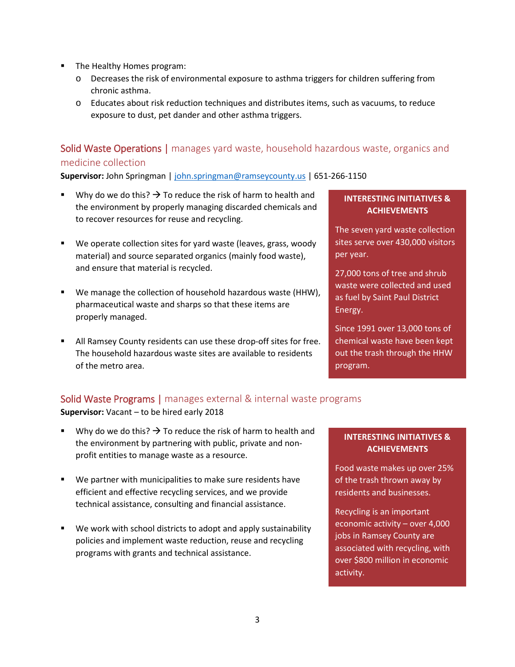- The Healthy Homes program:
	- o Decreases the risk of environmental exposure to asthma triggers for children suffering from chronic asthma.
	- o Educates about risk reduction techniques and distributes items, such as vacuums, to reduce exposure to dust, pet dander and other asthma triggers.

## Solid Waste Operations | manages yard waste, household hazardous waste, organics and medicine collection

**Supervisor:** John Springman | [john.springman@ramseycounty.us](mailto:john.springman@ramseycounty.us) | 651-266-1150

- Why do we do this?  $\rightarrow$  To reduce the risk of harm to health and the environment by properly managing discarded chemicals and to recover resources for reuse and recycling.
- We operate collection sites for yard waste (leaves, grass, woody material) and source separated organics (mainly food waste), and ensure that material is recycled.
- We manage the collection of household hazardous waste (HHW), pharmaceutical waste and sharps so that these items are properly managed.
- All Ramsey County residents can use these drop-off sites for free. The household hazardous waste sites are available to residents of the metro area.

## **INTERESTING INITIATIVES & ACHIEVEMENTS**

The seven yard waste collection sites serve over 430,000 visitors per year.

27,000 tons of tree and shrub waste were collected and used as fuel by Saint Paul District Energy.

Since 1991 over 13,000 tons of chemical waste have been kept out the trash through the HHW program.

## Solid Waste Programs | manages external & internal waste programs

**Supervisor:** Vacant – to be hired early 2018

- Why do we do this?  $\rightarrow$  To reduce the risk of harm to health and the environment by partnering with public, private and nonprofit entities to manage waste as a resource.
- We partner with municipalities to make sure residents have efficient and effective recycling services, and we provide technical assistance, consulting and financial assistance.
- We work with school districts to adopt and apply sustainability policies and implement waste reduction, reuse and recycling programs with grants and technical assistance.

## **INTERESTING INITIATIVES & ACHIEVEMENTS**

Food waste makes up over 25% of the trash thrown away by residents and businesses.

Recycling is an important economic activity – over 4,000 jobs in Ramsey County are associated with recycling, with over \$800 million in economic activity.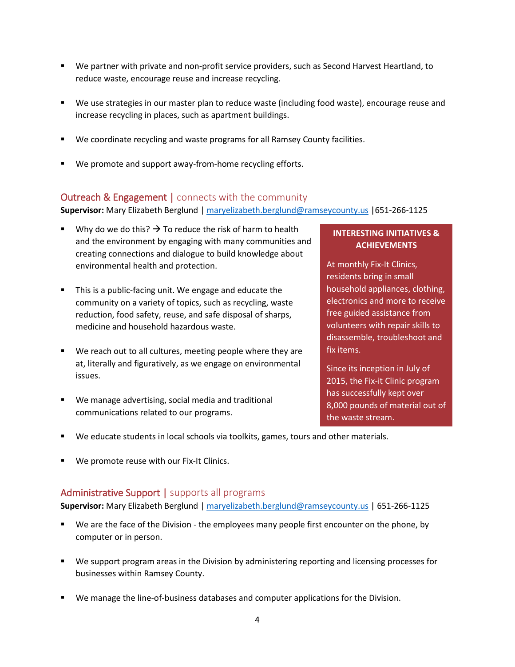- We partner with private and non-profit service providers, such as Second Harvest Heartland, to reduce waste, encourage reuse and increase recycling.
- We use strategies in our master plan to reduce waste (including food waste), encourage reuse and increase recycling in places, such as apartment buildings.
- We coordinate recycling and waste programs for all Ramsey County facilities.
- We promote and support away-from-home recycling efforts.

## Outreach & Engagement | connects with the community

**Supervisor:** Mary Elizabeth Berglund [| maryelizabeth.berglund@ramseycounty.us](mailto:maryelizabeth.berglund@ramseycounty.us) |651-266-1125

- Why do we do this?  $\rightarrow$  To reduce the risk of harm to health and the environment by engaging with many communities and creating connections and dialogue to build knowledge about environmental health and protection.
- **This is a public-facing unit. We engage and educate the** community on a variety of topics, such as recycling, waste reduction, food safety, reuse, and safe disposal of sharps, medicine and household hazardous waste.
- We reach out to all cultures, meeting people where they are at, literally and figuratively, as we engage on environmental issues.
- We manage advertising, social media and traditional communications related to our programs.

#### **INTERESTING INITIATIVES & ACHIEVEMENTS**

At monthly Fix-It Clinics, residents bring in small household appliances, clothing, electronics and more to receive free guided assistance from volunteers with repair skills to disassemble, troubleshoot and fix items.

Since its inception in July of 2015, the Fix-it Clinic program has successfully kept over 8,000 pounds of material out of the waste stream.

- We educate students in local schools via toolkits, games, tours and other materials.
- We promote reuse with our Fix-It Clinics.

## Administrative Support | supports all programs

**Supervisor:** Mary Elizabeth Berglund [| maryelizabeth.berglund@ramseycounty.us](mailto:maryelizabeth.berglund@ramseycounty.us) | 651-266-1125

- We are the face of the Division the employees many people first encounter on the phone, by computer or in person.
- We support program areas in the Division by administering reporting and licensing processes for businesses within Ramsey County.
- We manage the line-of-business databases and computer applications for the Division.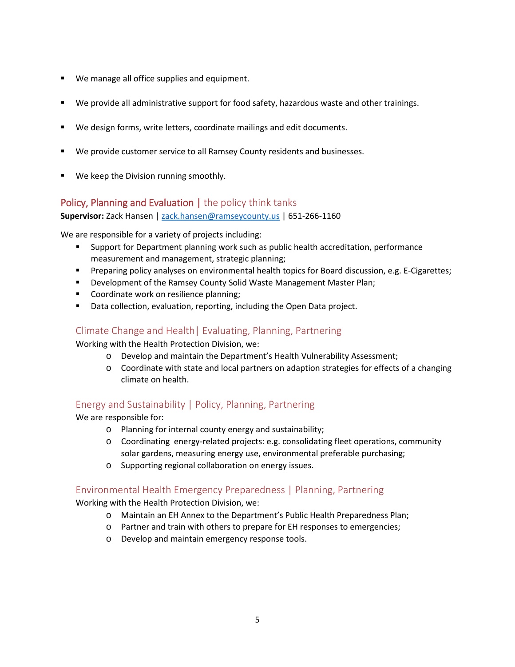- **We manage all office supplies and equipment.**
- We provide all administrative support for food safety, hazardous waste and other trainings.
- We design forms, write letters, coordinate mailings and edit documents.
- We provide customer service to all Ramsey County residents and businesses.
- We keep the Division running smoothly.

## Policy, Planning and Evaluation | the policy think tanks

**Supervisor:** Zack Hansen | [zack.hansen@ramseycounty.us](mailto:zack.hansen@ramseycounty.us) | 651-266-1160

We are responsible for a variety of projects including:

- Support for Department planning work such as public health accreditation, performance measurement and management, strategic planning;
- Preparing policy analyses on environmental health topics for Board discussion, e.g. E-Cigarettes;
- **Development of the Ramsey County Solid Waste Management Master Plan;**
- Coordinate work on resilience planning;
- Data collection, evaluation, reporting, including the Open Data project.

## Climate Change and Health| Evaluating, Planning, Partnering

Working with the Health Protection Division, we:

- o Develop and maintain the Department's Health Vulnerability Assessment;
- o Coordinate with state and local partners on adaption strategies for effects of a changing climate on health.

## Energy and Sustainability | Policy, Planning, Partnering

We are responsible for:

- o Planning for internal county energy and sustainability;
- o Coordinating energy-related projects: e.g. consolidating fleet operations, community solar gardens, measuring energy use, environmental preferable purchasing;
- o Supporting regional collaboration on energy issues.

## Environmental Health Emergency Preparedness | Planning, Partnering

Working with the Health Protection Division, we:

- o Maintain an EH Annex to the Department's Public Health Preparedness Plan;
- o Partner and train with others to prepare for EH responses to emergencies;
- o Develop and maintain emergency response tools.